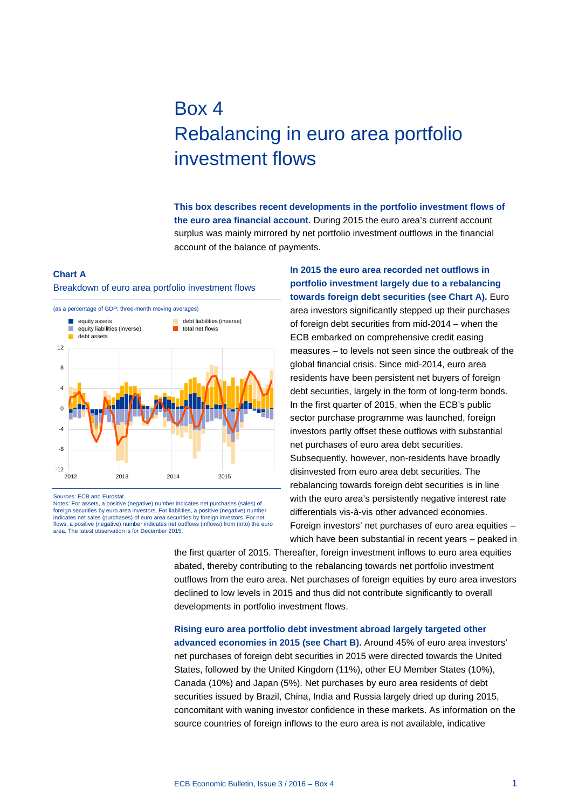# Box 4 Rebalancing in euro area portfolio investment flows

**This box describes recent developments in the portfolio investment flows of the euro area financial account.** During 2015 the euro area's current account surplus was mainly mirrored by net portfolio investment outflows in the financial account of the balance of payments.

## **Chart A**

### Breakdown of euro area portfolio investment flows



Sources: ECB and Eurostat.

Notes: For assets, a positive (negative) number indicates net purchases (sales) of foreign securities by euro area investors. For liabilities, a positive (negative) number indicates net sales (purchases) of euro area securities by foreign investors. For net flows, a positive (negative) number indicates net outflows (inflows) from (into) the euro area. The latest observation is for December 2015. **In 2015 the euro area recorded net outflows in portfolio investment largely due to a rebalancing towards foreign debt securities (see Chart A).** Euro area investors significantly stepped up their purchases of foreign debt securities from mid-2014 – when the ECB embarked on comprehensive credit easing measures – to levels not seen since the outbreak of the global financial crisis. Since mid-2014, euro area residents have been persistent net buyers of foreign debt securities, largely in the form of long-term bonds. In the first quarter of 2015, when the ECB's public sector purchase programme was launched, foreign investors partly offset these outflows with substantial net purchases of euro area debt securities. Subsequently, however, non-residents have broadly disinvested from euro area debt securities. The rebalancing towards foreign debt securities is in line with the euro area's persistently negative interest rate differentials vis-à-vis other advanced economies. Foreign investors' net purchases of euro area equities – which have been substantial in recent years – peaked in

the first quarter of 2015. Thereafter, foreign investment inflows to euro area equities abated, thereby contributing to the rebalancing towards net portfolio investment outflows from the euro area. Net purchases of foreign equities by euro area investors declined to low levels in 2015 and thus did not contribute significantly to overall developments in portfolio investment flows.

**Rising euro area portfolio debt investment abroad largely targeted other advanced economies in 2015 (see Chart B).** Around 45% of euro area investors' net purchases of foreign debt securities in 2015 were directed towards the United States, followed by the United Kingdom (11%), other EU Member States (10%), Canada (10%) and Japan (5%). Net purchases by euro area residents of debt securities issued by Brazil, China, India and Russia largely dried up during 2015, concomitant with waning investor confidence in these markets. As information on the source countries of foreign inflows to the euro area is not available, indicative